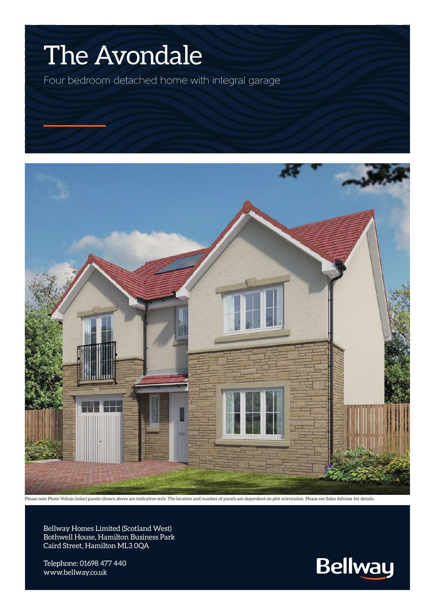## The Avondale

Four bedroom detached home with integral garage



Please note Photo Voltaic (solar) panels shown above are indicative only. The location and number of panels are dependent on plot orientation. Please see Sales Advisor for details.

Bellway Homes Limited (Scotland West) Bothwell House, Hamilton Business Park Caird Street, Hamilton ML3 0QA

Telephone: 01698 477 440 www.bellway.co.uk

**Bellway**